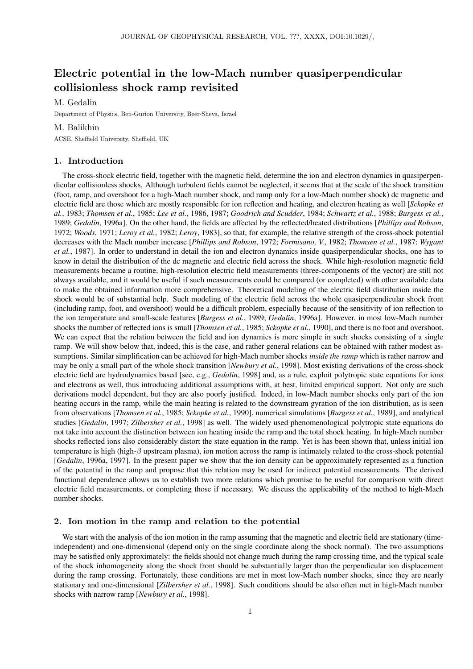# Electric potential in the low-Mach number quasiperpendicular collisionless shock ramp revisited

M. Gedalin

Department of Physics, Ben-Gurion University, Beer-Sheva, Israel

## M. Balikhin

ACSE, Sheffield University, Sheffield, UK

### 1. Introduction

The cross-shock electric field, together with the magnetic field, determine the ion and electron dynamics in quasiperpendicular collisionless shocks. Although turbulent fields cannot be neglected, it seems that at the scale of the shock transition (foot, ramp, and overshoot for a high-Mach number shock, and ramp only for a low-Mach number shock) dc magnetic and electric field are those which are mostly responsible for ion reflection and heating, and electron heating as well [*Sckopke et al.*, 1983; *Thomsen et al.*, 1985; *Lee et al.*, 1986, 1987; *Goodrich and Scudder*, 1984; *Schwartz et al.*, 1988; *Burgess et al.*, 1989; *Gedalin*, 1996a]. On the other hand, the fields are affected by the reflected/heated distributions [*Phillips and Robson*, 1972; *Woods*, 1971; *Leroy et al.*, 1982; *Leroy*, 1983], so that, for example, the relative strength of the cross-shock potential decreases with the Mach number increase [*Phillips and Robson*, 1972; *Formisano, V.*, 1982; *Thomsen et al.*, 1987; *Wygant et al.*, 1987]. In order to understand in detail the ion and electron dynamics inside quasiperpendicular shocks, one has to know in detail the distribution of the dc magnetic and electric field across the shock. While high-resolution magnetic field measurements became a routine, high-resolution electric field measurements (three-components of the vector) are still not always available, and it would be useful if such measurements could be compared (or completed) with other available data to make the obtained information more comprehensive. Theoretical modeling of the electric field distribution inside the shock would be of substantial help. Such modeling of the electric field across the whole quasiperpendicular shock front (including ramp, foot, and overshoot) would be a difficult problem, especially because of the sensitivity of ion reflection to the ion temperature and small-scale features [*Burgess et al.*, 1989; *Gedalin*, 1996a]. However, in most low-Mach number shocks the number of reflected ions is small [*Thomsen et al.*, 1985; *Sckopke et al.*, 1990], and there is no foot and overshoot. We can expect that the relation between the field and ion dynamics is more simple in such shocks consisting of a single ramp. We will show below that, indeed, this is the case, and rather general relations can be obtained with rather modest assumptions. Similar simplification can be achieved for high-Mach number shocks *inside the ramp* which is rather narrow and may be only a small part of the whole shock transition [*Newbury et al.*, 1998]. Most existing derivations of the cross-shock electric field are hydrodynamics based [see, e.g., *Gedalin*, 1998] and, as a rule, exploit polytropic state equations for ions and electrons as well, thus introducing additional assumptions with, at best, limited empirical support. Not only are such derivations model dependent, but they are also poorly justified. Indeed, in low-Mach number shocks only part of the ion heating occurs in the ramp, while the main heating is related to the downstream gyration of the ion distribution, as is seen from observations [*Thomsen et al.*, 1985; *Sckopke et al.*, 1990], numerical simulations [*Burgess et al.*, 1989], and analytical studies [*Gedalin*, 1997; *Zilbersher et al.*, 1998] as well. The widely used phenomenological polytropic state equations do not take into account the distinction between ion heating inside the ramp and the total shock heating. In high-Mach number shocks reflected ions also considerably distort the state equation in the ramp. Yet is has been shown that, unless initial ion temperature is high (high- $\beta$  upstream plasma), ion motion across the ramp is intimately related to the cross-shock potential [*Gedalin*, 1996a, 1997]. In the present paper we show that the ion density can be approximately represented as a function of the potential in the ramp and propose that this relation may be used for indirect potential measurements. The derived functional dependence allows us to establish two more relations which promise to be useful for comparison with direct electric field measurements, or completing those if necessary. We discuss the applicability of the method to high-Mach number shocks.

#### 2. Ion motion in the ramp and relation to the potential

We start with the analysis of the ion motion in the ramp assuming that the magnetic and electric field are stationary (timeindependent) and one-dimensional (depend only on the single coordinate along the shock normal). The two assumptions may be satisfied only approximately: the fields should not change much during the ramp crossing time, and the typical scale of the shock inhomogeneity along the shock front should be substantially larger than the perpendicular ion displacement during the ramp crossing. Fortunately, these conditions are met in most low-Mach number shocks, since they are nearly stationary and one-dimensional [*Zilbersher et al.*, 1998]. Such conditions should be also often met in high-Mach number shocks with narrow ramp [*Newbury et al.*, 1998].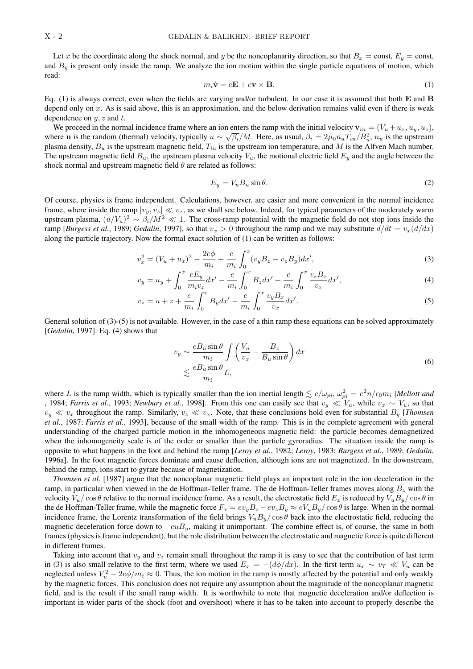Let x be the coordinate along the shock normal, and y be the noncoplanarity direction, so that  $B_x = \text{const}$ ,  $E_y = \text{const}$ , and  $B<sub>y</sub>$  is present only inside the ramp. We analyze the ion motion within the single particle equations of motion, which read:

$$
m_i \dot{\mathbf{v}} = e\mathbf{E} + e\mathbf{v} \times \mathbf{B}.\tag{1}
$$

Eq. (1) is always correct, even when the fields are varying and/or turbulent. In our case it is assumed that both E and B depend only on  $x$ . As is said above, this is an approximation, and the below derivation remains valid even if there is weak dependence on  $y$ ,  $z$  and  $t$ .

We proceed in the normal incidence frame where an ion enters the ramp with the initial velocity  $\mathbf{v}_{in} = (V_u + u_x, u_y, u_z)$ , where **u** is the random (thermal) velocity, typically  $u \sim \sqrt{\beta_i}/M$ . Here, as usual,  $\beta_i = 2\mu_0 n_u T_{iu}/B_u^2$ ,  $n_u$  is the upstream plasma density,  $B_u$  is the upstream magnetic field,  $T_{iu}$  is the upstream ion temperature, and M is the Alfven Mach number. The upstream magnetic field  $B_u$ , the upstream plasma velocity  $V_u$ , the motional electric field  $E_u$  and the angle between the shock normal and upstream magnetic field  $\theta$  are related as follows:

$$
E_y = V_u B_u \sin \theta. \tag{2}
$$

Of course, physics is frame independent. Calculations, however, are easier and more convenient in the normal incidence frame, where inside the ramp  $|v_y, v_z| \ll v_x$ , as we shall see below. Indeed, for typical parameters of the moderately warm upstream plasma,  $(u/V_u)^2 \sim \beta_i/M^2 \ll 1$ . The cross-ramp potential with the magnetic field do not stop ions inside the ramp [*Burgess et al.*, 1989; *Gedalin*, 1997], so that  $v_x > 0$  throughout the ramp and we may substitute  $d/dt = v_x(d/dx)$ along the particle trajectory. Now the formal exact solution of (1) can be written as follows:

$$
v_x^2 = (V_u + u_x)^2 - \frac{2e\phi}{m_i} + \frac{e}{m_i} \int_0^x (v_y B_z - v_z B_y) dx',
$$
\n(3)

$$
v_y = u_y + \int_0^x \frac{eE_y}{m_i v_x} dx' - \frac{e}{m_i} \int_0^x B_z dx' + \frac{e}{m_i} \int_0^x \frac{v_z B_x}{v_x} dx',
$$
 (4)

$$
v_z = u + z + \frac{e}{m_i} \int_0^x B_y dx' - \frac{e}{m_i} \int_0^x \frac{v_y B_x}{v_x} dx'.
$$
 (5)

General solution of (3)-(5) is not available. However, in the case of a thin ramp these equations can be solved approximately [*Gedalin*, 1997]. Eq. (4) shows that

$$
v_y \sim \frac{e_{u \sin \theta}}{m_i} \int \left(\frac{V_u}{v_x} - \frac{B_z}{B_u \sin \theta}\right) dx
$$
  

$$
\lesssim \frac{e_{u \sin \theta}}{m_i} L,
$$
 (6)

where L is the ramp width, which is typically smaller than the ion inertial length  $\lesssim c/\omega_{pi}$ ,  $\omega_{pi}^2 = e^2 n/\epsilon_0 m_i$  [*Mellott and* , 1984; *Farris et al.*, 1993; *Newbury et al.*, 1998]. From this one can easily see that  $v_y \ll V_u$ , while  $v_x \sim V_u$ , so that  $v_y \ll v_x$  throughout the ramp. Similarly,  $v_z \ll v_x$ . Note, that these conclusions hold even for substantial  $B_y$  [*Thomsen et al.*, 1987; *Farris et al.*, 1993], because of the small width of the ramp. This is in the complete agreement with general understanding of the charged particle motion in the inhomogeneous magnetic field: the particle becomes demagnetized when the inhomogeneity scale is of the order or smaller than the particle gyroradius. The situation inside the ramp is opposite to what happens in the foot and behind the ramp [*Leroy et al.*, 1982; *Leroy*, 1983; *Burgess et al.*, 1989; *Gedalin*, 1996a]. In the foot magnetic forces dominate and cause deflection, although ions are not magnetized. In the downstream, behind the ramp, ions start to gyrate because of magnetization.

*Thomsen et al.* [1987] argue that the noncoplanar magnetic field plays an important role in the ion deceleration in the ramp, in particular when viewed in the de Hoffman-Teller frame. The de Hoffman-Teller frames moves along  $B<sub>z</sub>$  with the velocity  $V_u/\cos\theta$  relative to the normal incidence frame. As a result, the electrostatic field  $E_x$  is reduced by  $V_uB_y/\cos\theta$  in the de Hoffman-Teller frame, while the magnetic force  $F_x = ev_yB_z - ev_zB_y \approx eV_uBy/\cos\theta$  is large. When in the normal incidence frame, the Lorentz transformation of the field brings  $V_u B_y / \cos \theta$  back into the electrostatic field, reducing the magnetic deceleration force down to  $-euB_y$ , making it unimportant. The combine effect is, of course, the same in both frames (physics is frame independent), but the role distribution between the electrostatic and magnetic force is quite different in different frames.

Taking into account that  $v_y$  and  $v_z$  remain small throughout the ramp it is easy to see that the contribution of last term in (3) is also small relative to the first term, where we used  $E_x = -(d\phi/dx)$ . In the first term  $u_x \sim v_T \ll V_u$  can be neglected unless  $V_u^2 - 2e\phi/m_i \approx 0$ . Thus, the ion motion in the ramp is mostly affected by the potential and only weakly by the magnetic forces. This conclusion does not require any assumption about the magnitude of the noncoplanar magnetic field, and is the result if the small ramp width. It is worthwhile to note that magnetic deceleration and/or deflection is important in wider parts of the shock (foot and overshoot) where it has to be taken into account to properly describe the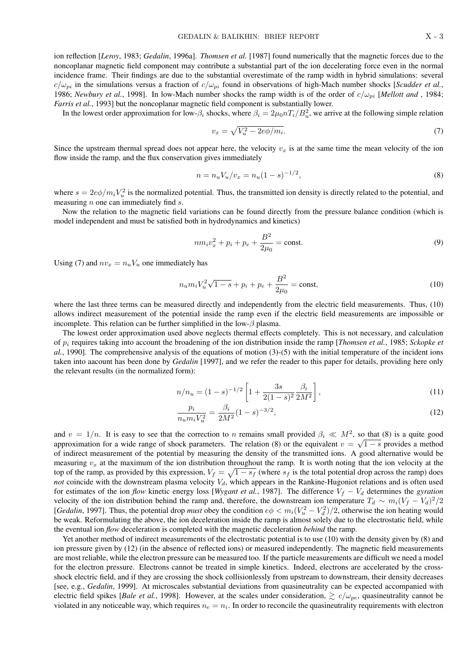ion reflection [*Leroy*, 1983; *Gedalin*, 1996a]. *Thomsen et al.* [1987] found numerically that the magnetic forces due to the noncoplanar magnetic field component may contribute a substantial part of the ion decelerating force even in the normal incidence frame. Their findings are due to the substantial overestimate of the ramp width in hybrid simulations: several  $c/\omega_{pi}$  in the simulations versus a fraction of  $c/\omega_{pi}$  found in observations of high-Mach number shocks [*Scudder et al.*, 1986; *Newbury et al.*, 1998]. In low-Mach number shocks the ramp width is of the order of  $c/\omega_{pi}$  [*Mellott and*, 1984; *Farris et al.*, 1993] but the noncoplanar magnetic field component is substantially lower.

In the lowest order approximation for low- $\beta_i$  shocks, where  $\beta_i = 2\mu_0 nT_i/B_u^2$ , we arrive at the following simple relation

$$
v_x = \sqrt{V_u^2 - 2e\phi/m_i}.\tag{7}
$$

Since the upstream thermal spread does not appear here, the velocity  $v_x$  is at the same time the mean velocity of the ion flow inside the ramp, and the flux conservation gives immediately

$$
n = n_u V_u / v_x = n_u (1 - s)^{-1/2},\tag{8}
$$

where  $s = 2e\phi/m_iV_u^2$  is the normalized potential. Thus, the transmitted ion density is directly related to the potential, and measuring  $n$  one can immediately find  $s$ .

Now the relation to the magnetic field variations can be found directly from the pressure balance condition (which is model independent and must be satisfied both in hydrodynamics and kinetics)

$$
nm_i v_x^2 + p_i + p_e + \frac{B^2}{2\mu_0} = \text{const.}
$$
\n(9)

Using (7) and  $nv_x = n_u V_u$  one immediately has

$$
n_{u}m_{i}V_{u}^{2}\sqrt{1-s} + p_{i} + p_{e} + \frac{B^{2}}{2\mu_{0}} = \text{const},\tag{10}
$$

where the last three terms can be measured directly and independently from the electric field measurements. Thus, (10) allows indirect measurement of the potential inside the ramp even if the electric field measurements are impossible or incomplete. This relation can be further simplified in the low- $\beta$  plasma.

The lowest order approximation used above neglects thermal effects completely. This is not necessary, and calculation of p<sup>i</sup> requires taking into account the broadening of the ion distribution inside the ramp [*Thomsen et al.*, 1985; *Sckopke et al.*, 1990]. The comprehensive analysis of the equations of motion (3)-(5) with the initial temperature of the incident ions taken into aacount has been done by *Gedalin* [1997], and we refer the reader to this paper for details, providing here only the relevant results (in the normalized form):

$$
n/n_u = (1-s)^{-1/2} \left[ 1 + \frac{3s}{2(1-s)^2} \frac{\beta_i}{2M^2} \right],
$$
\n(11)

$$
\frac{p_i}{n_u m_i V_u^2} = \frac{\beta_i}{2M^2} (1 - s)^{-3/2},\tag{12}
$$

and  $v = 1/n$ . It is easy to see that the correction to n remains small provided  $\beta_i \ll M^2$ , so that (8) is a quite good approximation for a wide range of shock parameters. The relation (8) or the equivalent  $v = \sqrt{1 - s}$  provides a method of indirect measurement of the potential by measuring the density of the transmitted ions. A good alternative would be measuring  $v<sub>x</sub>$  at the maximum of the ion distribution throughout the ramp. It is worth noting that the ion velocity at the top of the ramp, as provided by this expression,  $V_f = \sqrt{1 - s_f}$  (where  $s_f$  is the total potential drop across the ramp) does *not* coincide with the downstream plasma velocity  $V_d$ , which appears in the Rankine-Hugoniot relations and is often used for estimates of the ion *flow* kinetic energy loss [*Wygant et al.*, 1987]. The difference  $V_f - V_d$  determines the *gyration* velocity of the ion distribution behind the ramp and, therefore, the downstream ion temperature  $T_d \sim m_i (V_f - V_d)^2/2$ [*Gedalin*, 1997]. Thus, the potential drop *must* obey the condition  $e\phi < m_i(V_u^2 - V_d^2)/2$ , otherwise the ion heating would be weak. Reformulating the above, the ion deceleration inside the ramp is almost solely due to the electrostatic field, while the eventual ion *flow* deceleration is completed with the magnetic deceleration *behind* the ramp.

Yet another method of indirect measurements of the electrostatic potential is to use (10) with the density given by (8) and ion pressure given by (12) (in the absence of reflected ions) or measured independently. The magnetic field measurements are most reliable, while the electron pressure can be measured too. If the particle measurements are difficult we need a model for the electron pressure. Electrons cannot be treated in simple kinetics. Indeed, electrons are accelerated by the crossshock electric field, and if they are crossing the shock collisionlessly from upstream to downstream, their density decreases [see, e.g., *Gedalin*, 1999]. At microscales substantial deviations from quasineutrality can be expected accompanied with electric field spikes [*Bale et al.*, 1998]. However, at the scales under consideration,  $\gtrsim c/\omega_{pe}$ , quasineutrality cannot be violated in any noticeable way, which requires  $n_e = n_i$ . In order to reconcile the quasineutrality requirements with electron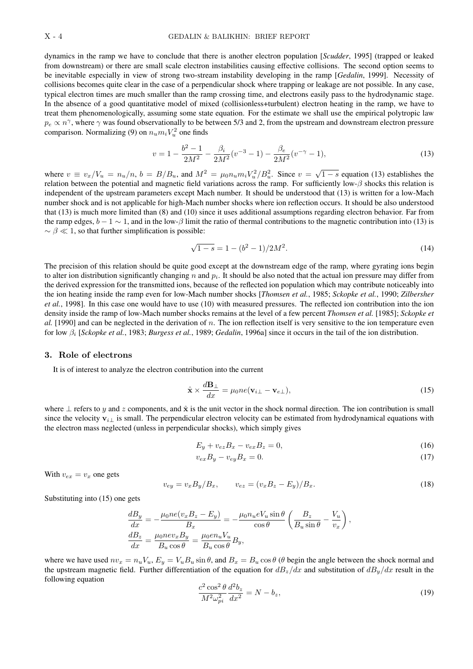dynamics in the ramp we have to conclude that there is another electron population [*Scudder*, 1995] (trapped or leaked from downstream) or there are small scale electron instabilities causing effective collisions. The second option seems to be inevitable especially in view of strong two-stream instability developing in the ramp [*Gedalin*, 1999]. Necessity of collisions becomes quite clear in the case of a perpendicular shock where trapping or leakage are not possible. In any case, typical electron times are much smaller than the ramp crossing time, and electrons easily pass to the hydrodynamic stage. In the absence of a good quantitative model of mixed (collisionless+turbulent) electron heating in the ramp, we have to treat them phenomenologically, assuming some state equation. For the estimate we shall use the empirical polytropic law  $p_e \propto n^{\gamma}$ , where  $\gamma$  was found observationally to be between 5/3 and 2, from the upstream and downstream electron pressure comparison. Normalizing (9) on  $n_u m_i V_u^2$  one finds

$$
v = 1 - \frac{b^2 - 1}{2M^2} - \frac{\beta_i}{2M^2} (v^{-3} - 1) - \frac{\beta_e}{2M^2} (v^{-\gamma} - 1),\tag{13}
$$

where  $v \equiv v_x/V_u = n_u/n$ ,  $b = B/B_u$ , and  $M^2 = \mu_0 n_u m_i V_u^2/B_u^2$ . Since  $v = \sqrt{1-s}$  equation (13) establishes the relation between the potential and magnetic field variations across the ramp. For sufficiently low- $\beta$  shocks this relation is independent of the upstream parameters except Mach number. It should be understood that (13) is written for a low-Mach number shock and is not applicable for high-Mach number shocks where ion reflection occurs. It should be also understood that (13) is much more limited than (8) and (10) since it uses additional assumptions regarding electron behavior. Far from the ramp edges,  $b - 1 \sim 1$ , and in the low- $\beta$  limit the ratio of thermal contributions to the magnetic contribution into (13) is  $\sim \beta \ll 1$ , so that further simplification is possible:

$$
\sqrt{1-s} = 1 - (b^2 - 1)/2M^2.
$$
 (14)

The precision of this relation should be quite good except at the downstream edge of the ramp, where gyrating ions begin to alter ion distribution significantly changing n and  $p_i$ . It should be also noted that the actual ion pressure may differ from the derived expression for the transmitted ions, because of the reflected ion population which may contribute noticeably into the ion heating inside the ramp even for low-Mach number shocks [*Thomsen et al.*, 1985; *Sckopke et al.*, 1990; *Zilbersher et al.*, 1998]. In this case one would have to use (10) with measured pressures. The reflected ion contribution into the ion density inside the ramp of low-Mach number shocks remains at the level of a few percent *Thomsen et al.* [1985]; *Sckopke et al.* [1990] and can be neglected in the derivation of n. The ion reflection itself is very sensitive to the ion temperature even for low β<sup>i</sup> [*Sckopke et al.*, 1983; *Burgess et al.*, 1989; *Gedalin*, 1996a] since it occurs in the tail of the ion distribution.

#### 3. Role of electrons

It is of interest to analyze the electron contribution into the current

$$
\hat{\mathbf{x}} \times \frac{d\mathbf{B}_{\perp}}{dx} = \mu_0 n e(\mathbf{v}_{i\perp} - \mathbf{v}_{e\perp}),
$$
\n(15)

where  $\perp$  refers to y and z components, and  $\hat{x}$  is the unit vector in the shock normal direction. The ion contribution is small since the velocity  $\mathbf{v}_{i\perp}$  is small. The perpendicular electron velocity can be estimated from hydrodynamical equations with the electron mass neglected (unless in perpendicular shocks), which simply gives

$$
E_y + v_{ez}B_x - v_{ex}B_z = 0,
$$
\n(16)

$$
v_{ex}B_y - v_{ey}B_x = 0.\t\t(17)
$$

With  $v_{ex} = v_x$  one gets

$$
v_{ey} = v_x B_y / B_x, \qquad v_{ez} = (v_x B_z - E_y) / B_x.
$$
\n(18)

Substituting into (15) one gets

$$
\begin{aligned}\n\frac{dB_y}{dx} &= -\frac{\mu_0 n e (v_x B_z - E_y)}{B_x} = -\frac{\mu_0 n_u e V_u \sin \theta}{\cos \theta} \left( \frac{B_z}{B_u \sin \theta} - \frac{V_u}{v_x} \right), \\
\frac{dB_z}{dx} &= \frac{\mu_0 n e v_x B_y}{B_u \cos \theta} = \frac{\mu_0 e n_u V_u}{B_u \cos \theta} B_y,\n\end{aligned}
$$

where we have used  $nv_x = n_uV_u$ ,  $E_y = V_uB_u \sin \theta$ , and  $B_x = B_u \cos \theta$  ( $\theta$  begin the angle between the shock normal and the upstream magnetic field. Further differentiation of the equation for  $dB_z/dx$  and substitution of  $dB_y/dx$  result in the following equation

$$
\frac{c^2 \cos^2 \theta}{M^2 \omega_{pi}^2} \frac{d^2 b_z}{dx^2} = N - b_z,\tag{19}
$$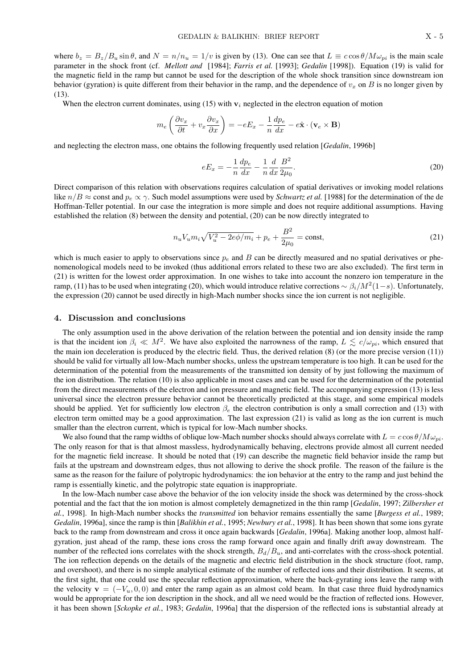where  $b_z = B_z/B_u \sin \theta$ , and  $N = n/n_u = 1/v$  is given by (13). One can see that  $L \equiv c \cos \theta / M \omega_{pi}$  is the main scale parameter in the shock front (cf. *Mellott and* [1984]; *Farris et al.* [1993]; *Gedalin* [1998]). Equation (19) is valid for the magnetic field in the ramp but cannot be used for the description of the whole shock transition since downstream ion behavior (gyration) is quite different from their behavior in the ramp, and the dependence of  $v_x$  on B is no longer given by (13).

When the electron current dominates, using (15) with  $v_i$  neglected in the electron equation of motion

$$
m_e \left( \frac{\partial v_x}{\partial t} + v_x \frac{\partial v_x}{\partial x} \right) = -eE_x - \frac{1}{n} \frac{dp_e}{dx} - e\hat{\mathbf{x}} \cdot (\mathbf{v}_e \times \mathbf{B})
$$

and neglecting the electron mass, one obtains the following frequently used relation [*Gedalin*, 1996b]

$$
eE_x = -\frac{1}{n}\frac{dp_e}{dx} - \frac{1}{n}\frac{d}{dx}\frac{B^2}{2\mu_0}.
$$
\n(20)

Direct comparison of this relation with observations requires calculation of spatial derivatives or invoking model relations like  $n/B \approx$  const and  $p_e \propto \gamma$ . Such model assumptions were used by *Schwartz et al.* [1988] for the determination of the de Hoffman-Teller potential. In our case the integration is more simple and does not require additional assumptions. Having established the relation (8) between the density and potential, (20) can be now directly integrated to

$$
n_u V_u m_i \sqrt{V_u^2 - 2e\phi/m_i} + p_e + \frac{B^2}{2\mu_0} = \text{const},\tag{21}
$$

which is much easier to apply to observations since  $p_e$  and B can be directly measured and no spatial derivatives or phenomenological models need to be invoked (thus additional errors related to these two are also excluded). The first term in (21) is written for the lowest order approximation. In one wishes to take into account the nonzero ion temperature in the ramp, (11) has to be used when integrating (20), which would introduce relative corrections  $\sim \beta_i/M^2(1-s)$ . Unfortunately, the expression (20) cannot be used directly in high-Mach number shocks since the ion current is not negligible.

#### 4. Discussion and conclusions

The only assumption used in the above derivation of the relation between the potential and ion density inside the ramp is that the incident ion  $\beta_i \ll M^2$ . We have also exploited the narrowness of the ramp,  $L \le c/\omega_{pi}$ , which ensured that the main ion deceleration is produced by the electric field. Thus, the derived relation (8) (or the more precise version (11)) should be valid for virtually all low-Mach number shocks, unless the upstream temperature is too high. It can be used for the determination of the potential from the measurements of the transmitted ion density of by just following the maximum of the ion distribution. The relation (10) is also applicable in most cases and can be used for the determination of the potential from the direct measurements of the electron and ion pressure and magnetic field. The accompanying expression (13) is less universal since the electron pressure behavior cannot be theoretically predicted at this stage, and some empirical models should be applied. Yet for sufficiently low electron  $\beta_e$  the electron contribution is only a small correction and (13) with electron term omitted may be a good approximation. The last expression (21) is valid as long as the ion current is much smaller than the electron current, which is typical for low-Mach number shocks.

We also found that the ramp widths of oblique low-Mach number shocks should always correlate with  $L = c \cos \theta / M \omega_{ni}$ . The only reason for that is that almost massless, hydrodynamically behaving, electrons provide almost all current needed for the magnetic field increase. It should be noted that (19) can describe the magnetic field behavior inside the ramp but fails at the upstream and downstream edges, thus not allowing to derive the shock profile. The reason of the failure is the same as the reason for the failure of polytropic hydrodynamics: the ion behavior at the entry to the ramp and just behind the ramp is essentially kinetic, and the polytropic state equation is inappropriate.

In the low-Mach number case above the behavior of the ion velocity inside the shock was determined by the cross-shock potential and the fact that the ion motion is almost completely demagnetized in the thin ramp [*Gedalin*, 1997; *Zilbersher et al.*, 1998]. In high-Mach number shocks the *transmitted* ion behavior remains essentially the same [*Burgess et al.*, 1989; *Gedalin*, 1996a], since the ramp is thin [*Balikhin et al.*, 1995; *Newbury et al.*, 1998]. It has been shown that some ions gyrate back to the ramp from downstream and cross it once again backwards [*Gedalin*, 1996a]. Making another loop, almost halfgyration, just ahead of the ramp, these ions cross the ramp forward once again and finally drift away downstream. The number of the reflected ions correlates with the shock strength,  $B_d/B_u$ , and anti-correlates with the cross-shock potential. The ion reflection depends on the details of the magnetic and electric field distribution in the shock structure (foot, ramp, and overshoot), and there is no simple analytical estimate of the number of reflected ions and their distribution. It seems, at the first sight, that one could use the specular reflection approximation, where the back-gyrating ions leave the ramp with the velocity  $\mathbf{v} = (-V_u, 0, 0)$  and enter the ramp again as an almost cold beam. In that case three fluid hydrodynamics would be appropriate for the ion description in the shock, and all we need would be the fraction of reflected ions. However, it has been shown [*Sckopke et al.*, 1983; *Gedalin*, 1996a] that the dispersion of the reflected ions is substantial already at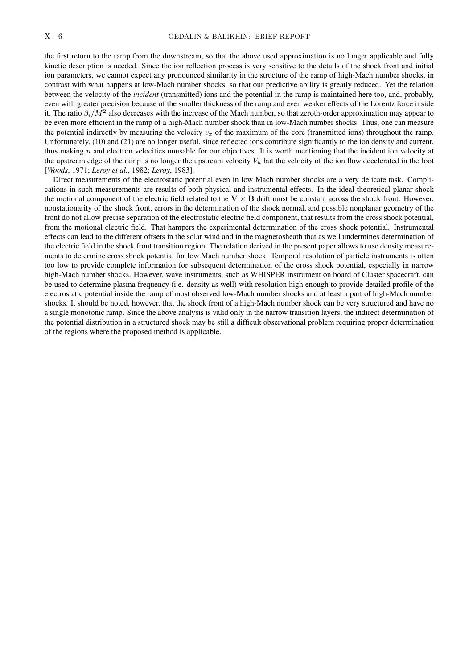the first return to the ramp from the downstream, so that the above used approximation is no longer applicable and fully kinetic description is needed. Since the ion reflection process is very sensitive to the details of the shock front and initial ion parameters, we cannot expect any pronounced similarity in the structure of the ramp of high-Mach number shocks, in contrast with what happens at low-Mach number shocks, so that our predictive ability is greatly reduced. Yet the relation between the velocity of the *incident* (transmitted) ions and the potential in the ramp is maintained here too, and, probably, even with greater precision because of the smaller thickness of the ramp and even weaker effects of the Lorentz force inside it. The ratio  $\beta_i/M^2$  also decreases with the increase of the Mach number, so that zeroth-order approximation may appear to be even more efficient in the ramp of a high-Mach number shock than in low-Mach number shocks. Thus, one can measure the potential indirectly by measuring the velocity  $v<sub>x</sub>$  of the maximum of the core (transmitted ions) throughout the ramp. Unfortunately, (10) and (21) are no longer useful, since reflected ions contribute significantly to the ion density and current, thus making  $n$  and electron velocities unusable for our objectives. It is worth mentioning that the incident ion velocity at the upstream edge of the ramp is no longer the upstream velocity  $V_u$  but the velocity of the ion flow decelerated in the foot [*Woods*, 1971; *Leroy et al.*, 1982; *Leroy*, 1983].

Direct measurements of the electrostatic potential even in low Mach number shocks are a very delicate task. Complications in such measurements are results of both physical and instrumental effects. In the ideal theoretical planar shock the motional component of the electric field related to the  $V \times B$  drift must be constant across the shock front. However, nonstationarity of the shock front, errors in the determination of the shock normal, and possible nonplanar geometry of the front do not allow precise separation of the electrostatic electric field component, that results from the cross shock potential, from the motional electric field. That hampers the experimental determination of the cross shock potential. Instrumental effects can lead to the different offsets in the solar wind and in the magnetosheath that as well undermines determination of the electric field in the shock front transition region. The relation derived in the present paper allows to use density measurements to determine cross shock potential for low Mach number shock. Temporal resolution of particle instruments is often too low to provide complete information for subsequent determination of the cross shock potential, especially in narrow high-Mach number shocks. However, wave instruments, such as WHISPER instrument on board of Cluster spacecraft, can be used to determine plasma frequency (i.e. density as well) with resolution high enough to provide detailed profile of the electrostatic potential inside the ramp of most observed low-Mach number shocks and at least a part of high-Mach number shocks. It should be noted, however, that the shock front of a high-Mach number shock can be very structured and have no a single monotonic ramp. Since the above analysis is valid only in the narrow transition layers, the indirect determination of the potential distribution in a structured shock may be still a difficult observational problem requiring proper determination of the regions where the proposed method is applicable.